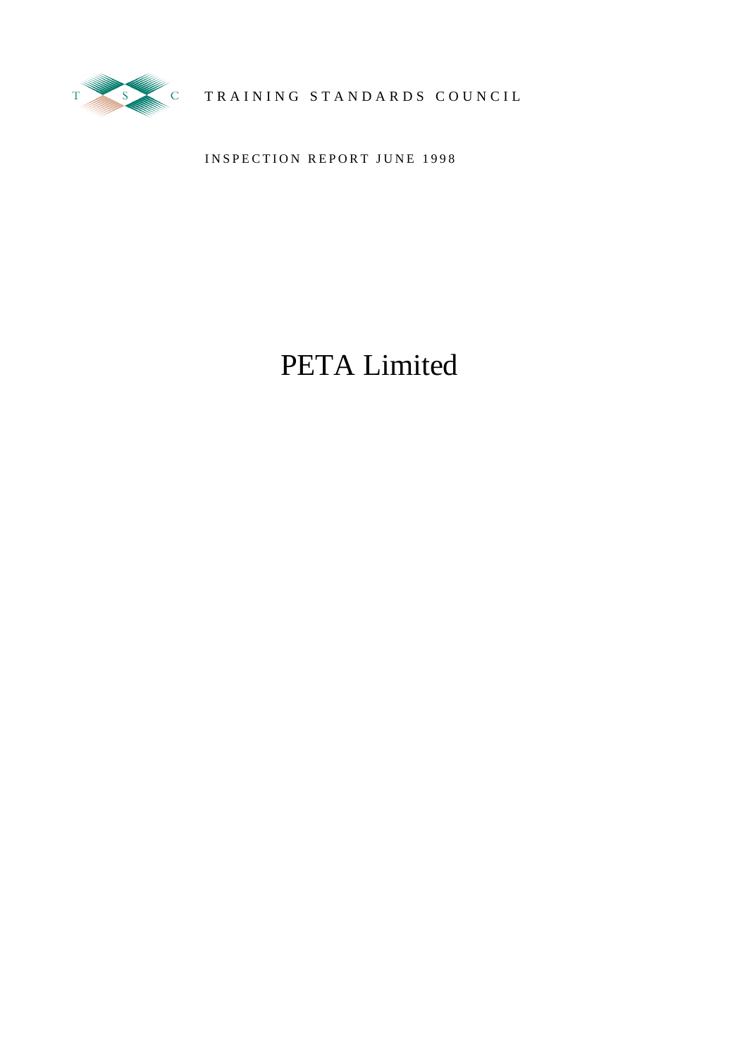

TY SALE COUNCIL TRAINING STANDARDS COUNCIL

INSPECTION REPORT JUNE 1998

# PETA Limited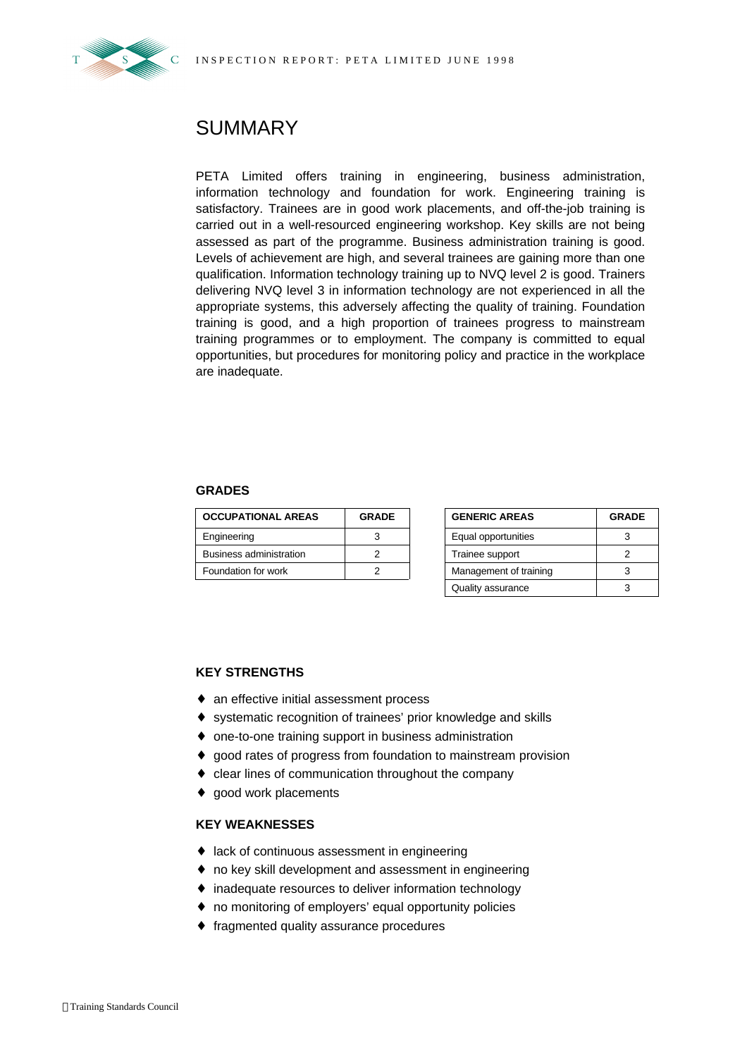

## SUMMARY

PETA Limited offers training in engineering, business administration, information technology and foundation for work. Engineering training is satisfactory. Trainees are in good work placements, and off-the-job training is carried out in a well-resourced engineering workshop. Key skills are not being assessed as part of the programme. Business administration training is good. Levels of achievement are high, and several trainees are gaining more than one qualification. Information technology training up to NVQ level 2 is good. Trainers delivering NVQ level 3 in information technology are not experienced in all the appropriate systems, this adversely affecting the quality of training. Foundation training is good, and a high proportion of trainees progress to mainstream training programmes or to employment. The company is committed to equal opportunities, but procedures for monitoring policy and practice in the workplace are inadequate.

#### **GRADES**

| <b>OCCUPATIONAL AREAS</b> | <b>GRADE</b> | <b>GENERIC AREAS</b>   | <b>GRADE</b> |
|---------------------------|--------------|------------------------|--------------|
| Engineering               |              | Equal opportunities    |              |
| Business administration   |              | Trainee support        |              |
| Foundation for work       |              | Management of training |              |

| <b>GENERIC AREAS</b>   | <b>GRADE</b> |  |  |
|------------------------|--------------|--|--|
| Equal opportunities    |              |  |  |
| Trainee support        |              |  |  |
| Management of training |              |  |  |
| Quality assurance      |              |  |  |

#### **KEY STRENGTHS**

- ♦ an effective initial assessment process
- ♦ systematic recognition of trainees' prior knowledge and skills
- ♦ one-to-one training support in business administration
- ♦ good rates of progress from foundation to mainstream provision
- ♦ clear lines of communication throughout the company
- ♦ good work placements

#### **KEY WEAKNESSES**

- ♦ lack of continuous assessment in engineering
- ♦ no key skill development and assessment in engineering
- ♦ inadequate resources to deliver information technology
- ♦ no monitoring of employers' equal opportunity policies
- ♦ fragmented quality assurance procedures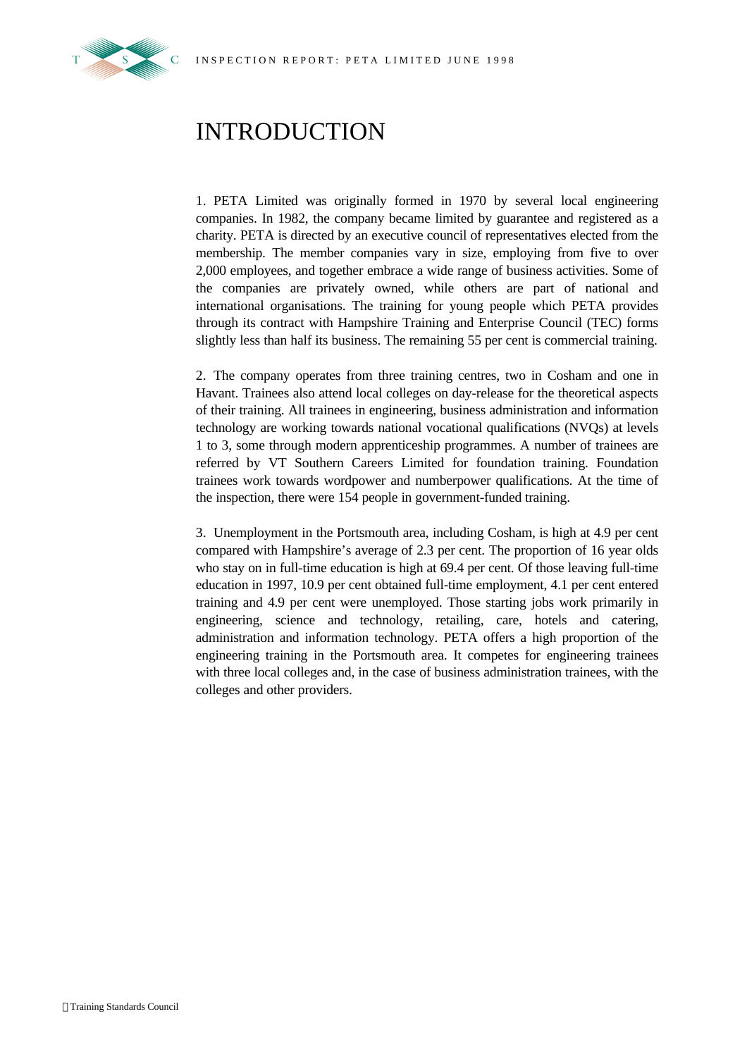

## INTRODUCTION

1. PETA Limited was originally formed in 1970 by several local engineering companies. In 1982, the company became limited by guarantee and registered as a charity. PETA is directed by an executive council of representatives elected from the membership. The member companies vary in size, employing from five to over 2,000 employees, and together embrace a wide range of business activities. Some of the companies are privately owned, while others are part of national and international organisations. The training for young people which PETA provides through its contract with Hampshire Training and Enterprise Council (TEC) forms slightly less than half its business. The remaining 55 per cent is commercial training.

2. The company operates from three training centres, two in Cosham and one in Havant. Trainees also attend local colleges on day-release for the theoretical aspects of their training. All trainees in engineering, business administration and information technology are working towards national vocational qualifications (NVQs) at levels 1 to 3, some through modern apprenticeship programmes. A number of trainees are referred by VT Southern Careers Limited for foundation training. Foundation trainees work towards wordpower and numberpower qualifications. At the time of the inspection, there were 154 people in government-funded training.

3. Unemployment in the Portsmouth area, including Cosham, is high at 4.9 per cent compared with Hampshire's average of 2.3 per cent. The proportion of 16 year olds who stay on in full-time education is high at 69.4 per cent. Of those leaving full-time education in 1997, 10.9 per cent obtained full-time employment, 4.1 per cent entered training and 4.9 per cent were unemployed. Those starting jobs work primarily in engineering, science and technology, retailing, care, hotels and catering, administration and information technology. PETA offers a high proportion of the engineering training in the Portsmouth area. It competes for engineering trainees with three local colleges and, in the case of business administration trainees, with the colleges and other providers.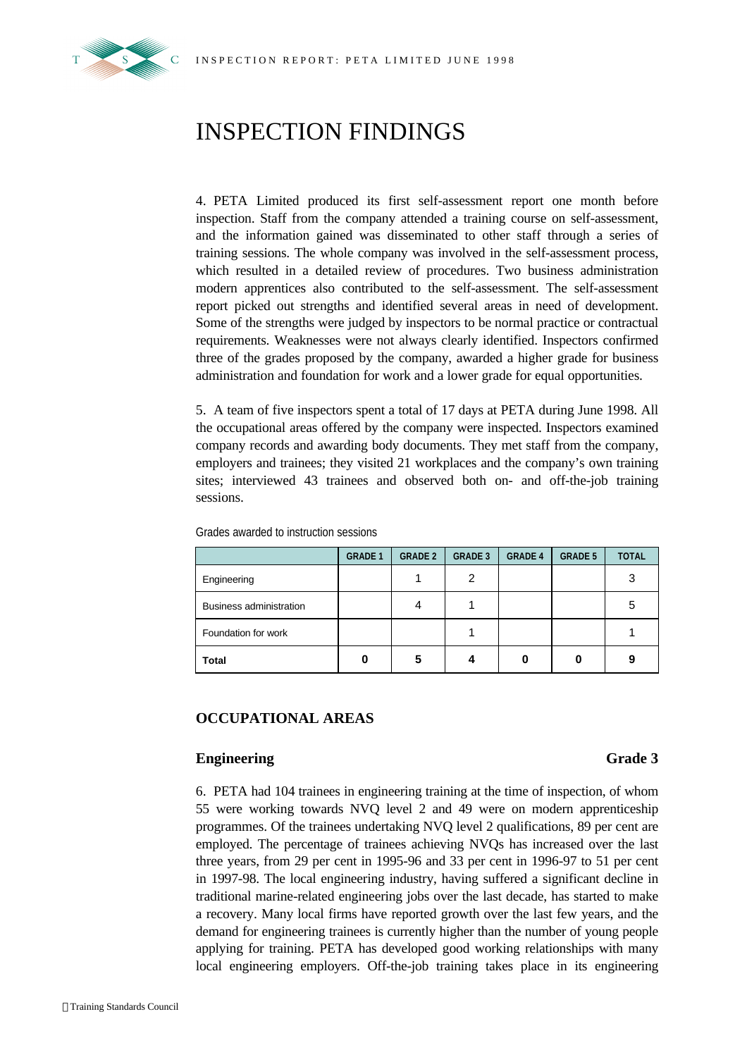

## INSPECTION FINDINGS

4. PETA Limited produced its first self-assessment report one month before inspection. Staff from the company attended a training course on self-assessment, and the information gained was disseminated to other staff through a series of training sessions. The whole company was involved in the self-assessment process, which resulted in a detailed review of procedures. Two business administration modern apprentices also contributed to the self-assessment. The self-assessment report picked out strengths and identified several areas in need of development. Some of the strengths were judged by inspectors to be normal practice or contractual requirements. Weaknesses were not always clearly identified. Inspectors confirmed three of the grades proposed by the company, awarded a higher grade for business administration and foundation for work and a lower grade for equal opportunities.

5. A team of five inspectors spent a total of 17 days at PETA during June 1998. All the occupational areas offered by the company were inspected. Inspectors examined company records and awarding body documents. They met staff from the company, employers and trainees; they visited 21 workplaces and the company's own training sites; interviewed 43 trainees and observed both on- and off-the-job training sessions.

|                         | <b>GRADE 1</b> | <b>GRADE 2</b> | <b>GRADE 3</b> | <b>GRADE 4</b> | <b>GRADE 5</b> | <b>TOTAL</b> |
|-------------------------|----------------|----------------|----------------|----------------|----------------|--------------|
| Engineering             |                |                | 2              |                |                | 3            |
| Business administration |                |                |                |                |                | 5            |
| Foundation for work     |                |                |                |                |                |              |
| <b>Total</b>            |                | 5              |                |                |                | 9            |

Grades awarded to instruction sessions

#### **OCCUPATIONAL AREAS**

#### **Engineering Grade 3**

6. PETA had 104 trainees in engineering training at the time of inspection, of whom 55 were working towards NVQ level 2 and 49 were on modern apprenticeship programmes. Of the trainees undertaking NVQ level 2 qualifications, 89 per cent are employed. The percentage of trainees achieving NVQs has increased over the last three years, from 29 per cent in 1995-96 and 33 per cent in 1996-97 to 51 per cent in 1997-98. The local engineering industry, having suffered a significant decline in traditional marine-related engineering jobs over the last decade, has started to make a recovery. Many local firms have reported growth over the last few years, and the demand for engineering trainees is currently higher than the number of young people applying for training. PETA has developed good working relationships with many local engineering employers. Off-the-job training takes place in its engineering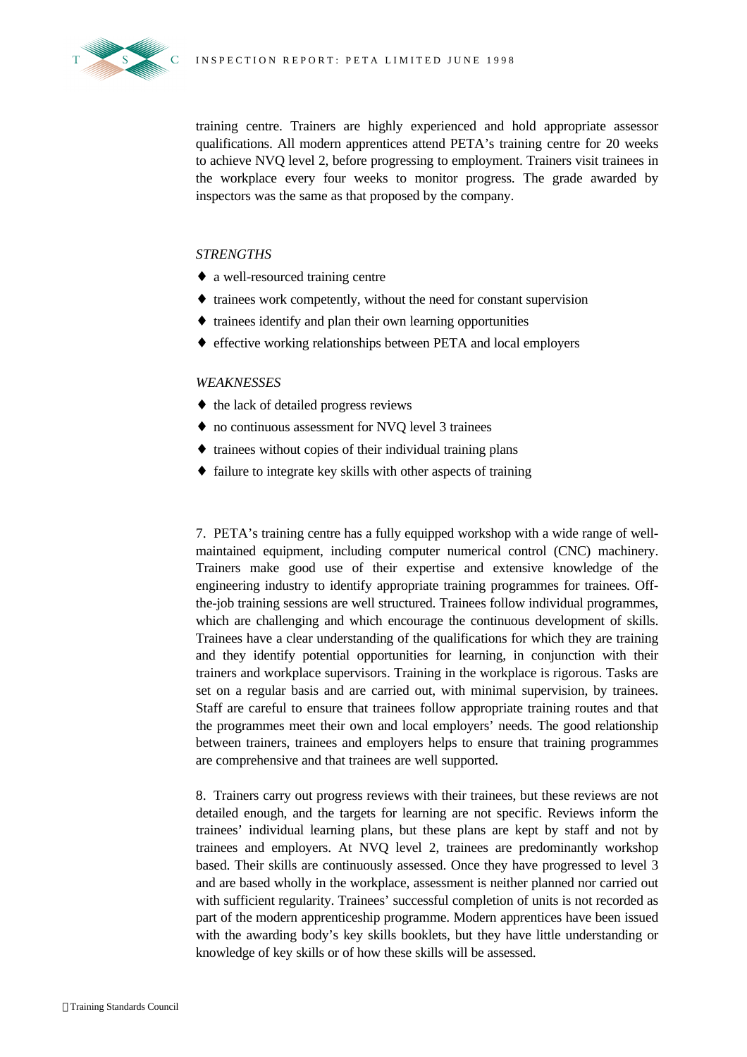

 $S \times C$ 

training centre. Trainers are highly experienced and hold appropriate assessor qualifications. All modern apprentices attend PETA's training centre for 20 weeks to achieve NVQ level 2, before progressing to employment. Trainers visit trainees in the workplace every four weeks to monitor progress. The grade awarded by inspectors was the same as that proposed by the company.

### *STRENGTHS*

- ♦ a well-resourced training centre
- ♦ trainees work competently, without the need for constant supervision
- ♦ trainees identify and plan their own learning opportunities
- ♦ effective working relationships between PETA and local employers

### *WEAKNESSES*

- ♦ the lack of detailed progress reviews
- ♦ no continuous assessment for NVQ level 3 trainees
- ♦ trainees without copies of their individual training plans
- ♦ failure to integrate key skills with other aspects of training

7. PETA's training centre has a fully equipped workshop with a wide range of wellmaintained equipment, including computer numerical control (CNC) machinery. Trainers make good use of their expertise and extensive knowledge of the engineering industry to identify appropriate training programmes for trainees. Offthe-job training sessions are well structured. Trainees follow individual programmes, which are challenging and which encourage the continuous development of skills. Trainees have a clear understanding of the qualifications for which they are training and they identify potential opportunities for learning, in conjunction with their trainers and workplace supervisors. Training in the workplace is rigorous. Tasks are set on a regular basis and are carried out, with minimal supervision, by trainees. Staff are careful to ensure that trainees follow appropriate training routes and that the programmes meet their own and local employers' needs. The good relationship between trainers, trainees and employers helps to ensure that training programmes are comprehensive and that trainees are well supported.

8. Trainers carry out progress reviews with their trainees, but these reviews are not detailed enough, and the targets for learning are not specific. Reviews inform the trainees' individual learning plans, but these plans are kept by staff and not by trainees and employers. At NVQ level 2, trainees are predominantly workshop based. Their skills are continuously assessed. Once they have progressed to level 3 and are based wholly in the workplace, assessment is neither planned nor carried out with sufficient regularity. Trainees' successful completion of units is not recorded as part of the modern apprenticeship programme. Modern apprentices have been issued with the awarding body's key skills booklets, but they have little understanding or knowledge of key skills or of how these skills will be assessed.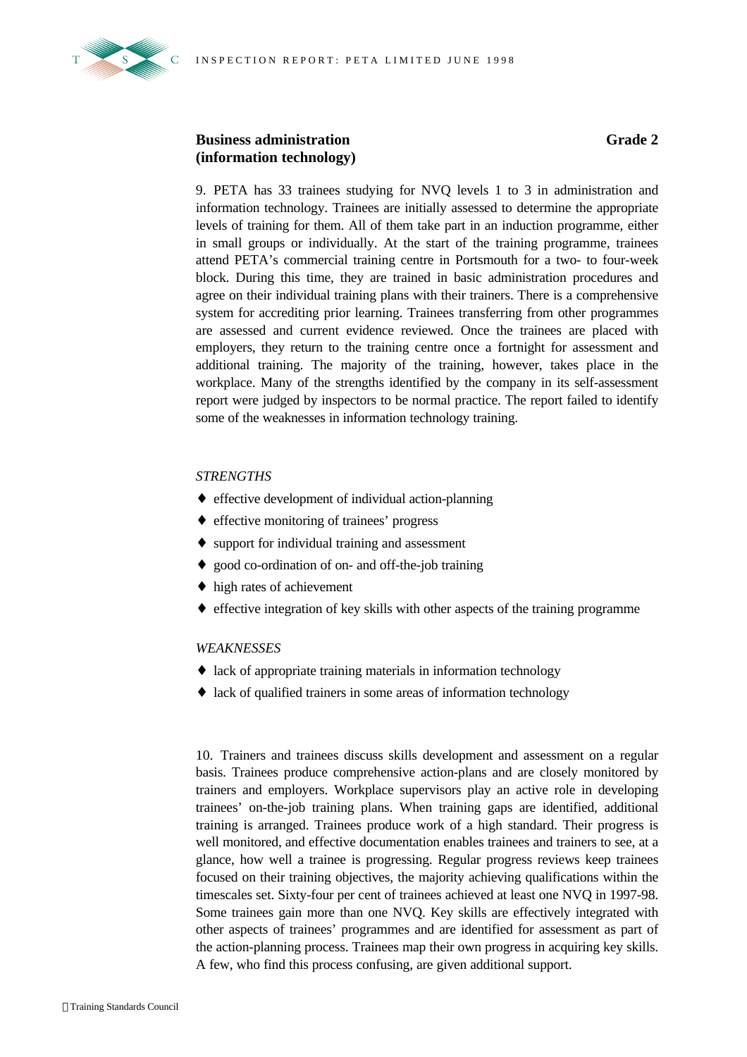

### **Business administration (information technology)**

9. PETA has 33 trainees studying for NVQ levels 1 to 3 in administration and information technology. Trainees are initially assessed to determine the appropriate levels of training for them. All of them take part in an induction programme, either in small groups or individually. At the start of the training programme, trainees attend PETA's commercial training centre in Portsmouth for a two- to four-week block. During this time, they are trained in basic administration procedures and agree on their individual training plans with their trainers. There is a comprehensive system for accrediting prior learning. Trainees transferring from other programmes are assessed and current evidence reviewed. Once the trainees are placed with employers, they return to the training centre once a fortnight for assessment and additional training. The majority of the training, however, takes place in the workplace. Many of the strengths identified by the company in its self-assessment report were judged by inspectors to be normal practice. The report failed to identify some of the weaknesses in information technology training.

#### *STRENGTHS*

- ♦ effective development of individual action-planning
- ♦ effective monitoring of trainees' progress
- ♦ support for individual training and assessment
- ♦ good co-ordination of on- and off-the-job training
- ♦ high rates of achievement
- ♦ effective integration of key skills with other aspects of the training programme

#### *WEAKNESSES*

- ♦ lack of appropriate training materials in information technology
- ♦ lack of qualified trainers in some areas of information technology

10. Trainers and trainees discuss skills development and assessment on a regular basis. Trainees produce comprehensive action-plans and are closely monitored by trainers and employers. Workplace supervisors play an active role in developing trainees' on-the-job training plans. When training gaps are identified, additional training is arranged. Trainees produce work of a high standard. Their progress is well monitored, and effective documentation enables trainees and trainers to see, at a glance, how well a trainee is progressing. Regular progress reviews keep trainees focused on their training objectives, the majority achieving qualifications within the timescales set. Sixty-four per cent of trainees achieved at least one NVQ in 1997-98. Some trainees gain more than one NVQ. Key skills are effectively integrated with other aspects of trainees' programmes and are identified for assessment as part of the action-planning process. Trainees map their own progress in acquiring key skills. A few, who find this process confusing, are given additional support.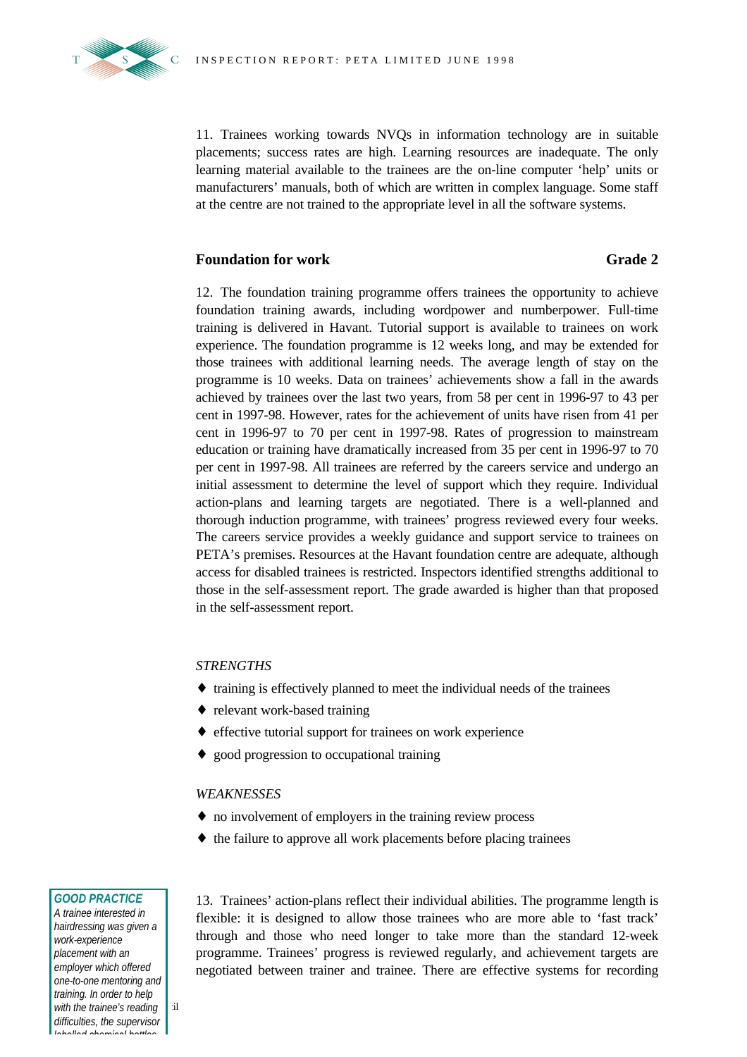11. Trainees working towards NVQs in information technology are in suitable placements; success rates are high. Learning resources are inadequate. The only learning material available to the trainees are the on-line computer 'help' units or manufacturers' manuals, both of which are written in complex language. Some staff at the centre are not trained to the appropriate level in all the software systems.

#### **Foundation for work Grade 2**

12. The foundation training programme offers trainees the opportunity to achieve foundation training awards, including wordpower and numberpower. Full-time training is delivered in Havant. Tutorial support is available to trainees on work experience. The foundation programme is 12 weeks long, and may be extended for those trainees with additional learning needs. The average length of stay on the programme is 10 weeks. Data on trainees' achievements show a fall in the awards achieved by trainees over the last two years, from 58 per cent in 1996-97 to 43 per cent in 1997-98. However, rates for the achievement of units have risen from 41 per cent in 1996-97 to 70 per cent in 1997-98. Rates of progression to mainstream education or training have dramatically increased from 35 per cent in 1996-97 to 70 per cent in 1997-98. All trainees are referred by the careers service and undergo an initial assessment to determine the level of support which they require. Individual action-plans and learning targets are negotiated. There is a well-planned and thorough induction programme, with trainees' progress reviewed every four weeks. The careers service provides a weekly guidance and support service to trainees on PETA's premises. Resources at the Havant foundation centre are adequate, although access for disabled trainees is restricted. Inspectors identified strengths additional to those in the self-assessment report. The grade awarded is higher than that proposed in the self-assessment report.

#### *STRENGTHS*

- ♦ training is effectively planned to meet the individual needs of the trainees
- ♦ relevant work-based training
- ♦ effective tutorial support for trainees on work experience
- ♦ good progression to occupational training

### *WEAKNESSES*

- ♦ no involvement of employers in the training review process
- ♦ the failure to approve all work placements before placing trainees

#### *GOOD PRACTICE*

*with the trainee's reading* iil *A trainee interested in hairdressing was given a work-experience placement with an employer which offered one-to-one mentoring and training. In order to help difficulties, the supervisor labelled chemical bottles*

13. Trainees' action-plans reflect their individual abilities. The programme length is flexible: it is designed to allow those trainees who are more able to 'fast track' through and those who need longer to take more than the standard 12-week programme. Trainees' progress is reviewed regularly, and achievement targets are negotiated between trainer and trainee. There are effective systems for recording

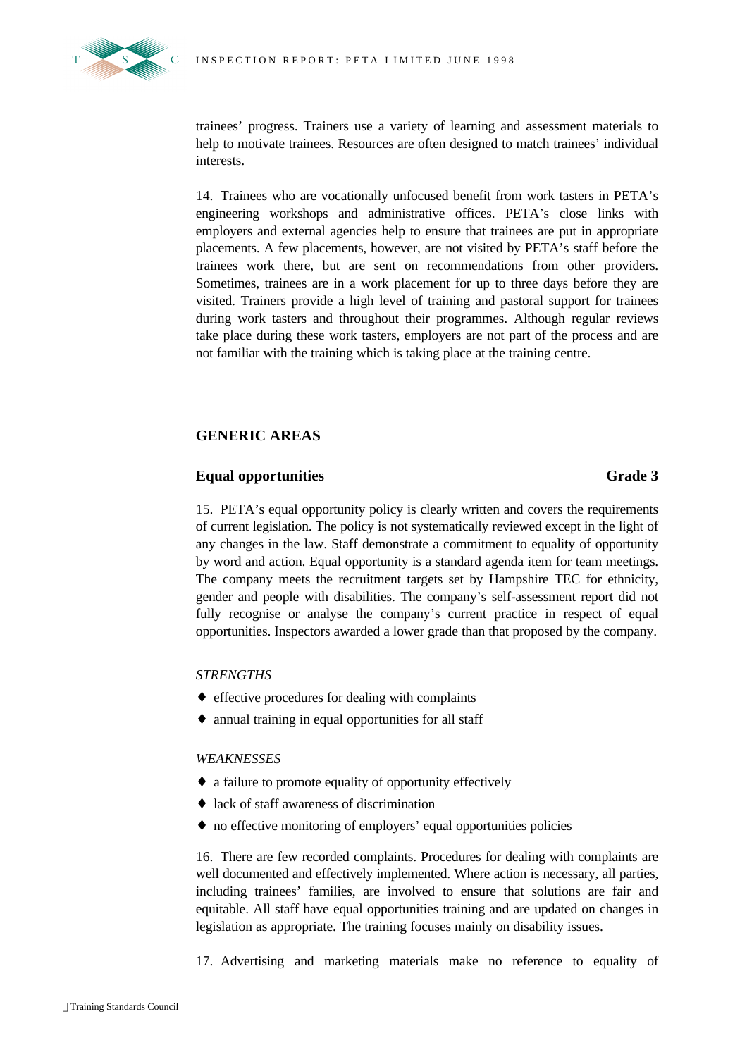

trainees' progress. Trainers use a variety of learning and assessment materials to help to motivate trainees. Resources are often designed to match trainees' individual interests.

14. Trainees who are vocationally unfocused benefit from work tasters in PETA's engineering workshops and administrative offices. PETA's close links with employers and external agencies help to ensure that trainees are put in appropriate placements. A few placements, however, are not visited by PETA's staff before the trainees work there, but are sent on recommendations from other providers. Sometimes, trainees are in a work placement for up to three days before they are visited. Trainers provide a high level of training and pastoral support for trainees during work tasters and throughout their programmes. Although regular reviews take place during these work tasters, employers are not part of the process and are not familiar with the training which is taking place at the training centre.

### **GENERIC AREAS**

### **Equal opportunities Grade 3**

15. PETA's equal opportunity policy is clearly written and covers the requirements of current legislation. The policy is not systematically reviewed except in the light of any changes in the law. Staff demonstrate a commitment to equality of opportunity by word and action. Equal opportunity is a standard agenda item for team meetings. The company meets the recruitment targets set by Hampshire TEC for ethnicity, gender and people with disabilities. The company's self-assessment report did not fully recognise or analyse the company's current practice in respect of equal opportunities. Inspectors awarded a lower grade than that proposed by the company.

#### *STRENGTHS*

- ♦ effective procedures for dealing with complaints
- ♦ annual training in equal opportunities for all staff

#### *WEAKNESSES*

- ♦ a failure to promote equality of opportunity effectively
- ♦ lack of staff awareness of discrimination
- ♦ no effective monitoring of employers' equal opportunities policies

16. There are few recorded complaints. Procedures for dealing with complaints are well documented and effectively implemented. Where action is necessary, all parties, including trainees' families, are involved to ensure that solutions are fair and equitable. All staff have equal opportunities training and are updated on changes in legislation as appropriate. The training focuses mainly on disability issues.

17. Advertising and marketing materials make no reference to equality of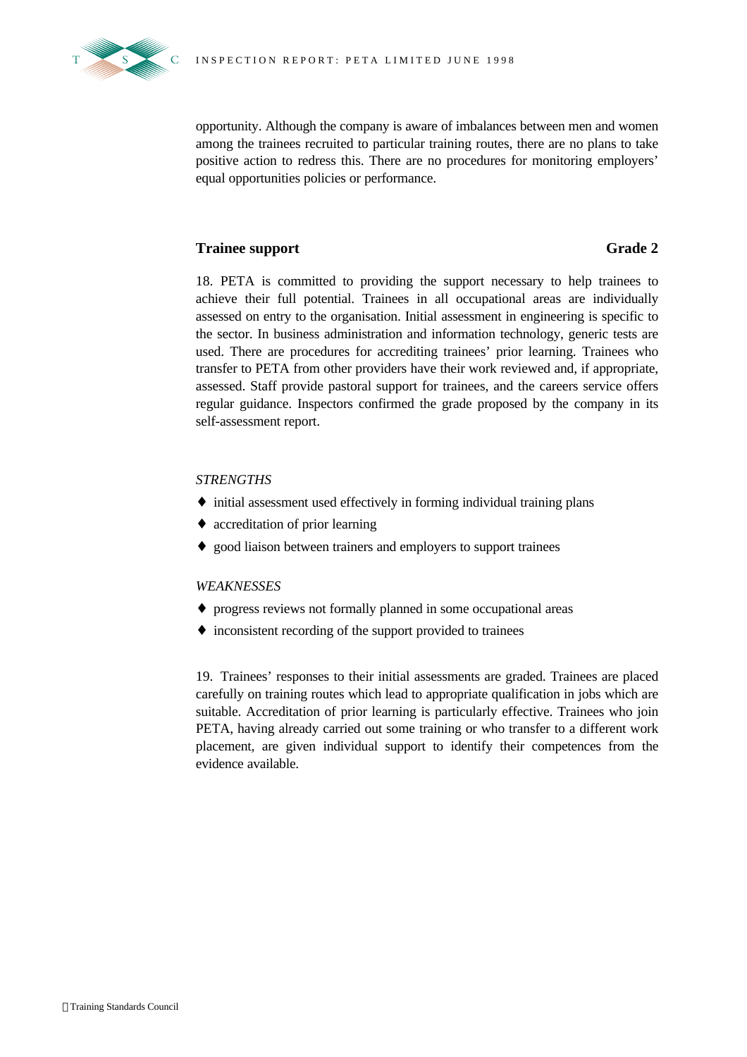

opportunity. Although the company is aware of imbalances between men and women among the trainees recruited to particular training routes, there are no plans to take positive action to redress this. There are no procedures for monitoring employers' equal opportunities policies or performance.

### **Trainee support Grade 2**

18. PETA is committed to providing the support necessary to help trainees to achieve their full potential. Trainees in all occupational areas are individually assessed on entry to the organisation. Initial assessment in engineering is specific to the sector. In business administration and information technology, generic tests are used. There are procedures for accrediting trainees' prior learning. Trainees who transfer to PETA from other providers have their work reviewed and, if appropriate, assessed. Staff provide pastoral support for trainees, and the careers service offers regular guidance. Inspectors confirmed the grade proposed by the company in its self-assessment report.

#### *STRENGTHS*

- ♦ initial assessment used effectively in forming individual training plans
- ♦ accreditation of prior learning
- ♦ good liaison between trainers and employers to support trainees

#### *WEAKNESSES*

- ♦ progress reviews not formally planned in some occupational areas
- ♦ inconsistent recording of the support provided to trainees

19. Trainees' responses to their initial assessments are graded. Trainees are placed carefully on training routes which lead to appropriate qualification in jobs which are suitable. Accreditation of prior learning is particularly effective. Trainees who join PETA, having already carried out some training or who transfer to a different work placement, are given individual support to identify their competences from the evidence available.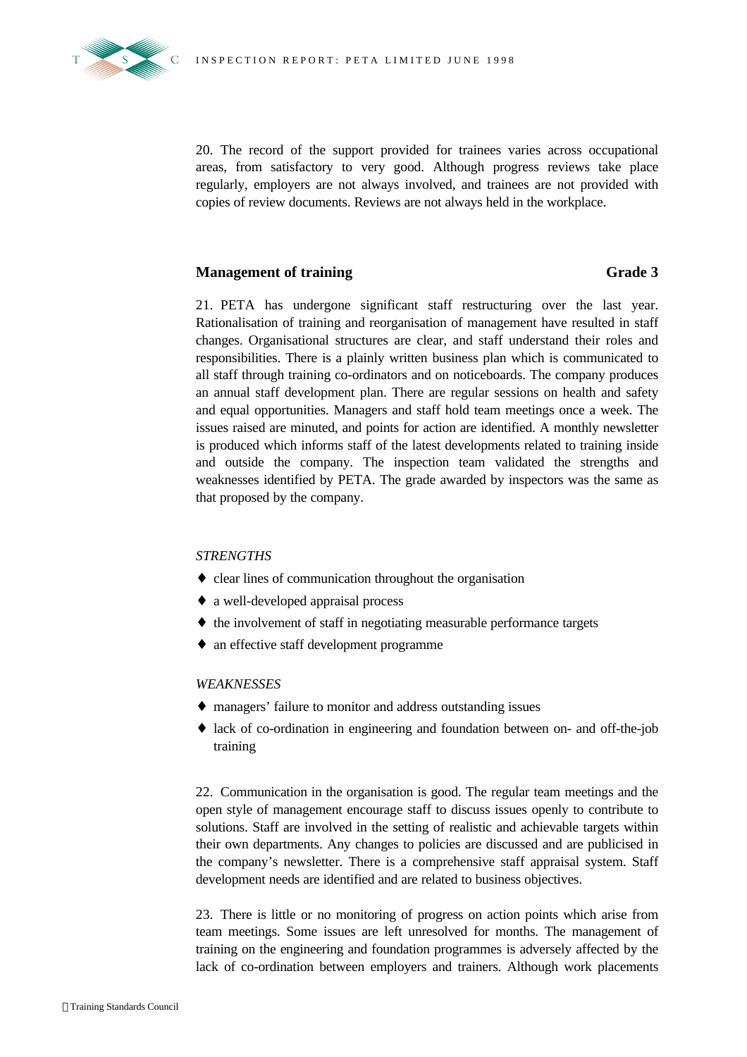

20. The record of the support provided for trainees varies across occupational areas, from satisfactory to very good. Although progress reviews take place regularly, employers are not always involved, and trainees are not provided with copies of review documents. Reviews are not always held in the workplace.

### **Management of training Grade 3**

21. PETA has undergone significant staff restructuring over the last year. Rationalisation of training and reorganisation of management have resulted in staff changes. Organisational structures are clear, and staff understand their roles and responsibilities. There is a plainly written business plan which is communicated to all staff through training co-ordinators and on noticeboards. The company produces an annual staff development plan. There are regular sessions on health and safety and equal opportunities. Managers and staff hold team meetings once a week. The issues raised are minuted, and points for action are identified. A monthly newsletter is produced which informs staff of the latest developments related to training inside and outside the company. The inspection team validated the strengths and weaknesses identified by PETA. The grade awarded by inspectors was the same as that proposed by the company.

#### *STRENGTHS*

- ♦ clear lines of communication throughout the organisation
- ♦ a well-developed appraisal process
- ♦ the involvement of staff in negotiating measurable performance targets
- ♦ an effective staff development programme

#### *WEAKNESSES*

- ♦ managers' failure to monitor and address outstanding issues
- ♦ lack of co-ordination in engineering and foundation between on- and off-the-job training

22. Communication in the organisation is good. The regular team meetings and the open style of management encourage staff to discuss issues openly to contribute to solutions. Staff are involved in the setting of realistic and achievable targets within their own departments. Any changes to policies are discussed and are publicised in the company's newsletter. There is a comprehensive staff appraisal system. Staff development needs are identified and are related to business objectives.

23. There is little or no monitoring of progress on action points which arise from team meetings. Some issues are left unresolved for months. The management of training on the engineering and foundation programmes is adversely affected by the lack of co-ordination between employers and trainers. Although work placements